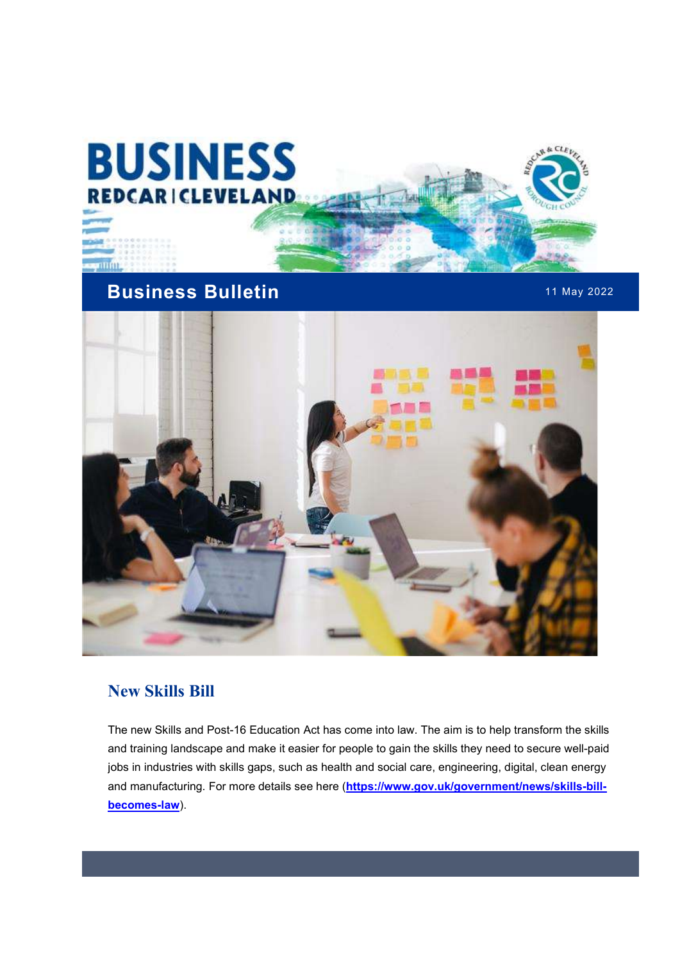

# Business Bulletin **11 May 2022**



#### New Skills Bill

The new Skills and Post-16 Education Act has come into law. The aim is to help transform the skills and training landscape and make it easier for people to gain the skills they need to secure well-paid jobs in industries with skills gaps, such as health and social care, engineering, digital, clean energy and manufacturing. For more details see here (https://www.gov.uk/government/news/skills-billbecomes-law).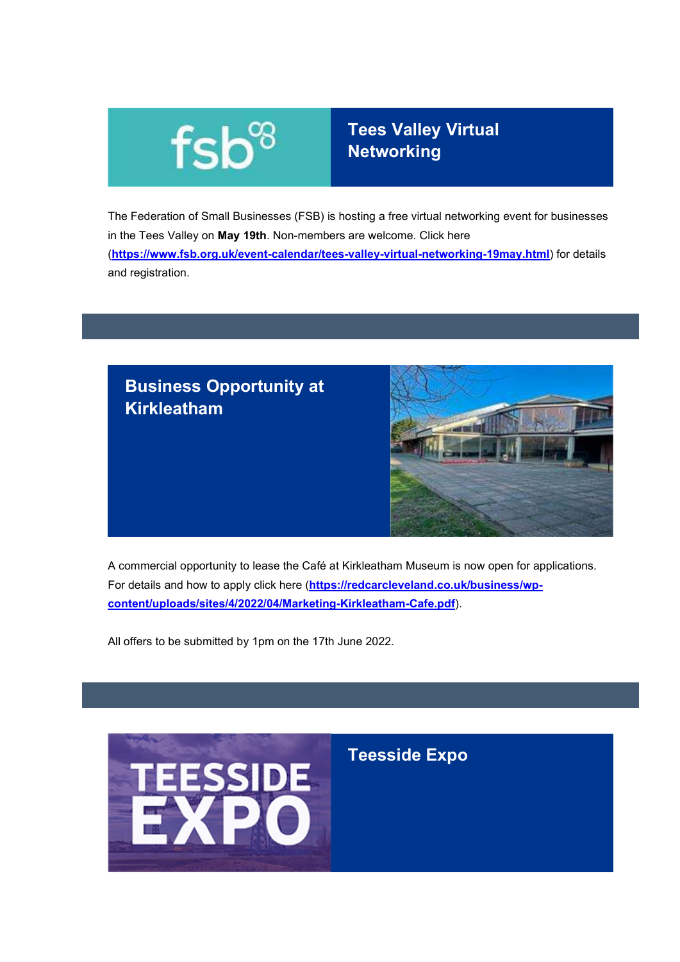

## Tees Valley Virtual Networking

The Federation of Small Businesses (FSB) is hosting a free virtual networking event for businesses in the Tees Valley on May 19th. Non-members are welcome. Click here (https://www.fsb.org.uk/event-calendar/tees-valley-virtual-networking-19may.html) for details and registration.



A commercial opportunity to lease the Café at Kirkleatham Museum is now open for applications. For details and how to apply click here (https://redcarcleveland.co.uk/business/wpcontent/uploads/sites/4/2022/04/Marketing-Kirkleatham-Cafe.pdf).

All offers to be submitted by 1pm on the 17th June 2022.

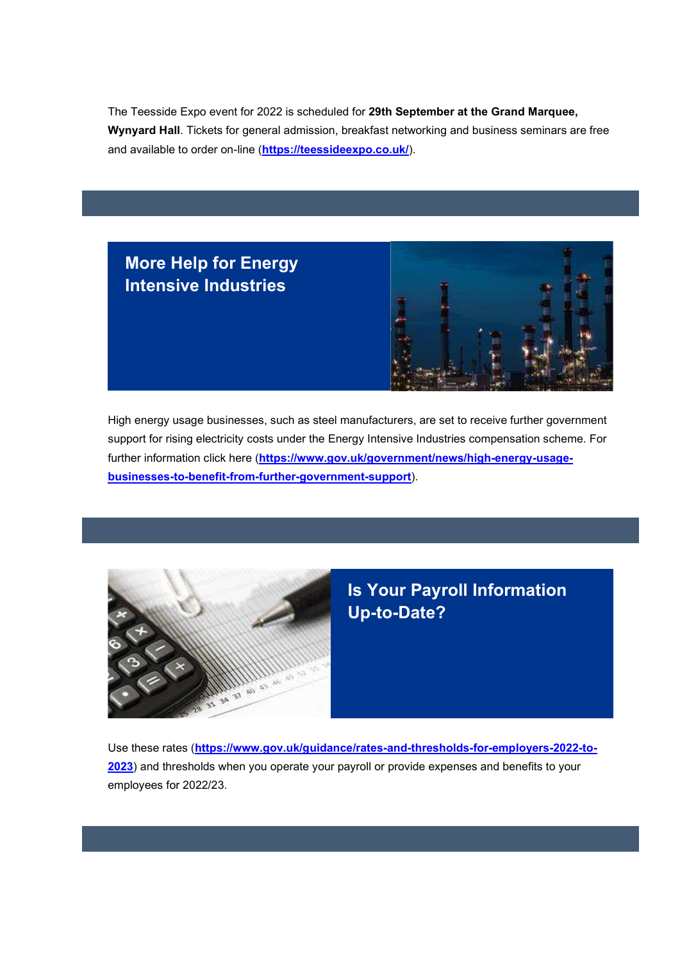The Teesside Expo event for 2022 is scheduled for 29th September at the Grand Marquee, Wynyard Hall. Tickets for general admission, breakfast networking and business seminars are free and available to order on-line (https://teessideexpo.co.uk/).





High energy usage businesses, such as steel manufacturers, are set to receive further government support for rising electricity costs under the Energy Intensive Industries compensation scheme. For further information click here (https://www.gov.uk/government/news/high-energy-usagebusinesses-to-benefit-from-further-government-support).



### Is Your Payroll Information Up-to-Date?

Use these rates (https://www.gov.uk/guidance/rates-and-thresholds-for-employers-2022-to-2023) and thresholds when you operate your payroll or provide expenses and benefits to your employees for 2022/23.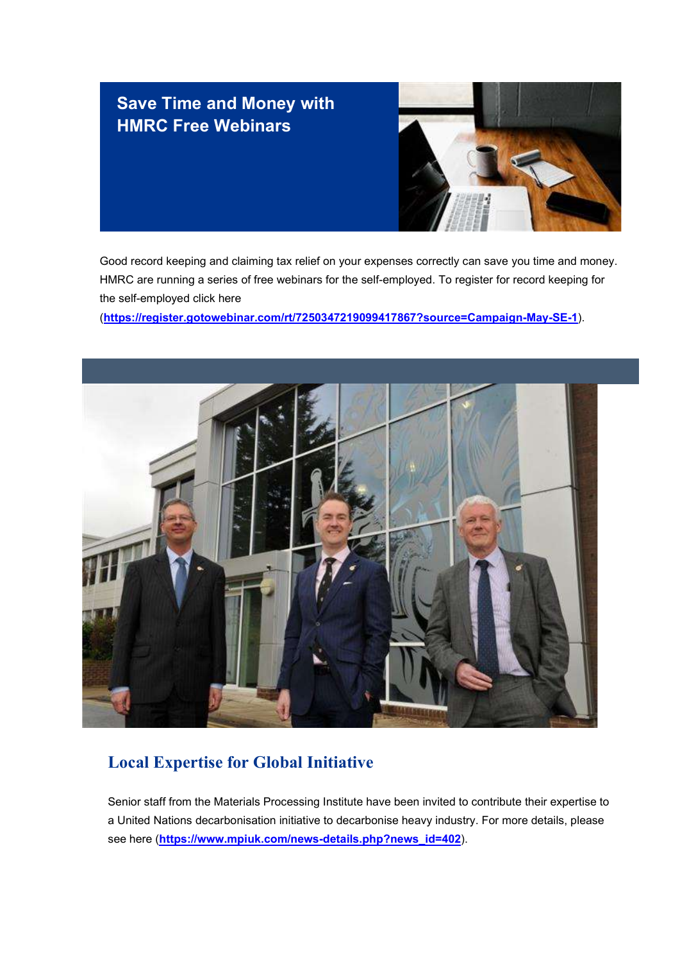### Save Time and Money with HMRC Free Webinars



Good record keeping and claiming tax relief on your expenses correctly can save you time and money. HMRC are running a series of free webinars for the self-employed. To register for record keeping for the self-employed click here

(https://register.gotowebinar.com/rt/7250347219099417867?source=Campaign-May-SE-1).



#### Local Expertise for Global Initiative

Senior staff from the Materials Processing Institute have been invited to contribute their expertise to a United Nations decarbonisation initiative to decarbonise heavy industry. For more details, please see here (https://www.mpiuk.com/news-details.php?news\_id=402).